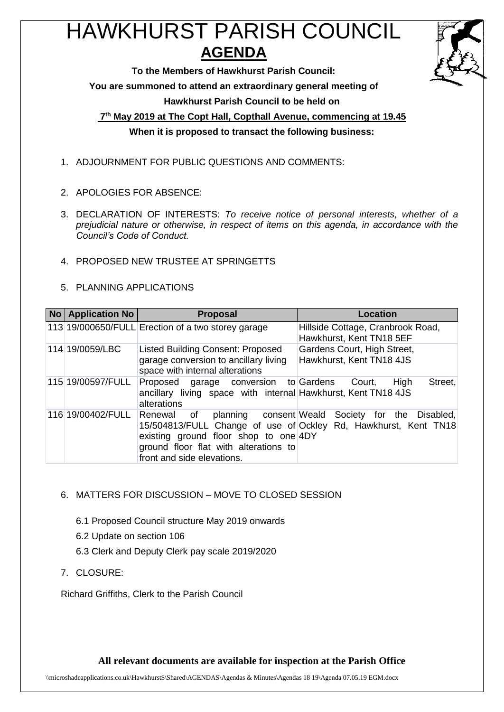## HAWKHURST PARISH COUNCIL **AGENDA**



**To the Members of Hawkhurst Parish Council:**

**You are summoned to attend an extraordinary general meeting of** 

**Hawkhurst Parish Council to be held on**

**7 th May 2019 at The Copt Hall, Copthall Avenue, commencing at 19.45 When it is proposed to transact the following business:**

- 1. ADJOURNMENT FOR PUBLIC QUESTIONS AND COMMENTS:
- 2. APOLOGIES FOR ABSENCE:
- 3. DECLARATION OF INTERESTS: *To receive notice of personal interests, whether of a prejudicial nature or otherwise, in respect of items on this agenda, in accordance with the Council's Code of Conduct.*
- 4. PROPOSED NEW TRUSTEE AT SPRINGETTS
- 5. PLANNING APPLICATIONS

| No   Application No | <b>Proposal</b>                                                                                                                                      | Location                                                                                     |
|---------------------|------------------------------------------------------------------------------------------------------------------------------------------------------|----------------------------------------------------------------------------------------------|
|                     | 113 19/000650/FULL Erection of a two storey garage                                                                                                   | Hillside Cottage, Cranbrook Road,<br>Hawkhurst, Kent TN18 5EF                                |
| 114 19/0059/LBC     | Listed Building Consent: Proposed<br>garage conversion to ancillary living<br>space with internal alterations                                        | Gardens Court, High Street,<br>Hawkhurst, Kent TN18 4JS                                      |
| 115 19/00597/FULL   | Proposed garage conversion to Gardens<br>ancillary living space with internal Hawkhurst, Kent TN18 4JS<br>alterations                                | Street,<br>High<br>Court.                                                                    |
| 116 19/00402/FULL   | Renewal of<br>planning consent Weald<br>existing ground floor shop to one 4DY<br>ground floor flat with alterations to<br>front and side elevations. | Society for the Disabled,<br>15/504813/FULL Change of use of Ockley Rd, Hawkhurst, Kent TN18 |

- 6. MATTERS FOR DISCUSSION MOVE TO CLOSED SESSION
	- 6.1 Proposed Council structure May 2019 onwards
	- 6.2 Update on section 106
	- 6.3 Clerk and Deputy Clerk pay scale 2019/2020
- 7. CLOSURE:

Richard Griffiths, Clerk to the Parish Council

## **All relevant documents are available for inspection at the Parish Office**